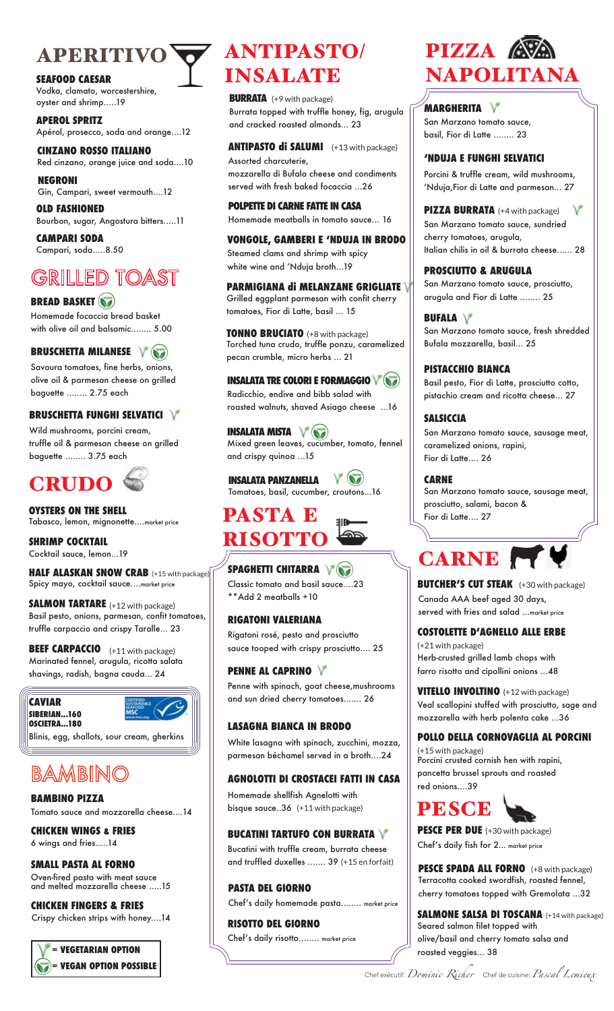# APERITIVO VANTIPASTO/

#### **SEAFOOD CAESAR**

Vodka, clamato, worcestershire, oyster and shrimp.....19

**APEROL SPRITZ** Apérol, prosecco, soda and orange....12

**CINZANO ROSSO ITALIANO** Red cinzano, orange juice and soda....10 **NEGRONI**

Gin, Campari, sweet vermouth....12

**OLD FASHIONED** Bourbon, sugar, Angostura bitters.....11

**CAMPARI SODA** Campari, soda.....8.50

# **GRILLED TOAST**

# **BREAD BASKET**

Homemade focaccia bread basket with olive oil and balsamic........ 5.00

# **BRUSCHETTA MILANESE**

Savoura tomatoes, fine herbs, onions, olive oil & parmesan cheese on grilled baguette ........ 2.75 each

# **BRUSCHETTA FUNGHI SELVATICI**

Wild mushrooms, porcini cream, truffle oil & parmesan cheese on grilled baguette ........ 3.75 each



**OYSTERS ON THE SHELL** Tabasco, lemon, mignonette....market price

**SHRIMP COCKTAIL** Cocktail sauce, lemon...19

**HALF ALASKAN SNOW CRAB** (+15 with package) Spicy mayo, cocktail sauce....market price

**SALMON TARTARE**  (+12 with package) Basil pesto, onions, parmesan, confit tomatoes, truffle carpaccio and crispy Taralle... 23

**BEEF CARPACCIO** (+11 with package) Marinated fennel, arugula, ricotta salata shavings, radish, bagna cauda... 24

#### **CAVIAR SIBERIAN...160**

**OSCIETRA...180**



Blinis, egg, shallots, sour cream, gherkins

# BAMBINO

Tomato sauce and mozzarella cheese....14 **BAMBINO PIZZA**

6 wings and fries.....14 **CHICKEN WINGS & FRIES**

# **SMALL PASTA AL FORNO**

Oven-fired pasta with meat sauce and melted mozzarella cheese .....15

#### Crispy chicken strips with honey....14 **CHICKEN FINGERS & FRIES**



# INSALATE

**BURRATA** (+9 with package) Burrata topped with truffle honey, fig, arugula and cracked roasted almonds... 23

**ANTIPASTO di SALUMI** (+13 with package) Assorted charcuterie, mozzarella di Bufala cheese and condiments served with fresh baked focaccia ...26

**POLPETTE DI CARNE FATTE IN CASA** Homemade meatballs in tomato sauce... 16

#### **VONGOLE, GAMBERI E ʻNDUJA IN BRODO**

Steamed clams and shrimp with spicy white wine and ʻNduja broth...19

**PARMIGIANA di MELANZANE GRIGLIATE** Grilled eggplant parmesan with confit cherry tomatoes, Fior di Latte, basil ... 15

**TONNO BRUCIATO** (+8 with package) Torched tuna crudo, truffle ponzu, caramelized pecan crumble, micro herbs ... 21

**INSALATA TRE COLORI E FORMAGGIO** Radicchio, endive and bibb salad with roasted walnuts, shaved Asiago cheese ...16

**INSALATA MISTA**  $V$  ( $\mathbf{v}$ ) Mixed green leaves, cucumber, tomato, fennel and crispy quinoa ...15

**INSALATA PANZANELLA**  $V$  (b) Tomatoes, basil, cucumber, croutons...16



# **SPAGHETTI CHITARRA** V

Classic tomato and basil sauce....23 \*\*Add 2 meatballs +10

# **RIGATONI VALERIANA**

Rigatoni rosé, pesto and prosciutto sauce tooped with crispy prosciutto.... 25

# **PENNE AL CAPRINO**

Penne with spinach, goat cheese,mushrooms and sun dried cherry tomatoes....... 26

# **LASAGNA BIANCA IN BRODO**

White lasagna with spinach, zucchini, mozza, parmesan béchamel served in a broth....24

# **AGNOLOTTI DI CROSTACEI FATTI IN CASA**

Homemade shellfish Agnelotti with bisque sauce..36 (+11 with package)

#### **BUCATINI TARTUFO CON BURRATA**

Bucatini with truffle cream, burrata cheese and truffled duxelles ....... 39 (+15 en forfait)

Chef's daily homemade pasta........ market price **PASTA DEL GIORNO**

#### Chef's daily risotto........ market price **RISOTTO DEL GIORNO**

# PIZZA **AVA** NAPOLITANA

San Marzano tomato sauce, basil, Fior di Latte ........ 23 **MARGHERITA**

#### **ʻNDUJA E FUNGHI SELVATICI**

Porcini & truffle cream, wild mushrooms, ʻNduja,Fior di Latte and parmesan... 27

**PIZZA BURRATA** (+4 with package) v San Marzano tomato sauce, sundried cherry tomatoes, arugula, Italian chilis in oil & burrata cheese...... 28

#### **PROSCIUTTO & ARUGULA**

San Marzano tomato sauce, prosciutto, arugula and Fior di Latte ........ 25

## **BUFALA**

San Marzano tomato sauce, fresh shredded Bufala mozzarella, basil... 25

## **PISTACCHIO BIANCA**

Basil pesto, Fior di Latte, prosciutto cotto, pistachio cream and ricotta cheese... 27

# **SALSICCIA**

San Marzano tomato sauce, sausage meat, caramelized onions, rapini, Fior di Latte.... 26

**CARNE**

San Marzano tomato sauce, sausage meat, prosciutto, salami, bacon & Fior di Latte.... 27



#### Canada AAA beef aged 30 days, served with fries and salad ...market price **BUTCHER'S CUT STEAK** (+30 with package)

# **COSTOLETTE D'AGNELLO ALLE ERBE**

Herb-crusted grilled lamb chops with farro risotto and cipollini onions ...48 (+21 with package)

Veal scallopini stuffed with prosciutto, sage and mozzarella with herb polenta cake ...36 **VITELLO INVOLTINO** (+12 with package)

# **POLLO DELLA CORNOVAGLIA AL PORCINI**

Porcini crusted cornish hen with rapini, pancetta brussel sprouts and roasted red onions....39 (+15 with package)



Chef's daily fish for 2... market price **PESCE PER DUE** (+30 with package)

Terracotta cooked swordfish, roasted fennel, cherry tomatoes topped with Gremolata ...32 **PESCE SPADA ALL FORNO** (+8 with package)

#### **SALMONE SALSA DI TOSCANA** (+14 with package) Seared salmon filet topped with olive/basil and cherry tomato salsa and roasted veggies... 38